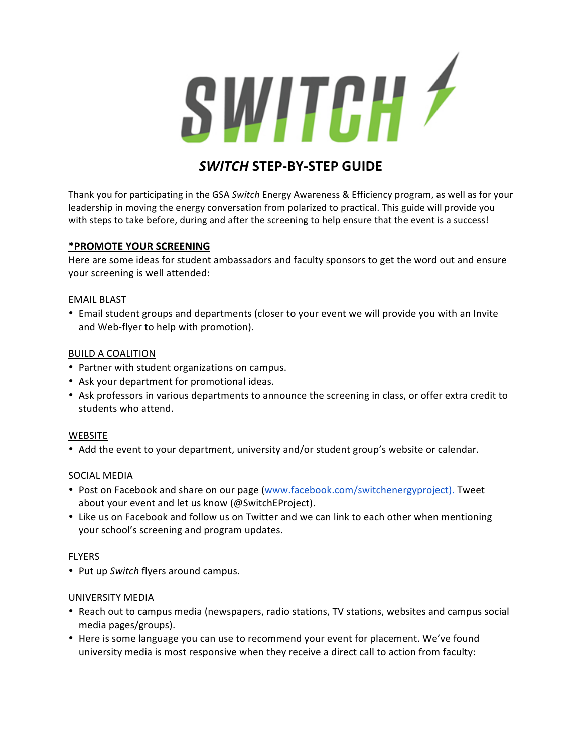

# **SWITCH STEP-BY-STEP GUIDE**

Thank you for participating in the GSA Switch Energy Awareness & Efficiency program, as well as for your leadership in moving the energy conversation from polarized to practical. This guide will provide you with steps to take before, during and after the screening to help ensure that the event is a success!

# **\*PROMOTE!YOUR!SCREENING**

Here are some ideas for student ambassadors and faculty sponsors to get the word out and ensure your screening is well attended:

### EMAIL!BLAST

• Email student groups and departments (closer to your event we will provide you with an Invite and Web-flyer to help with promotion).

## **BUILD A COALITION**

- Partner with student organizations on campus.
- Ask your department for promotional ideas.
- Ask professors in various departments to announce the screening in class, or offer extra credit to students who attend.

### **WEBSITE**

• Add the event to your department, university and/or student group's website or calendar.

### SOCIAL MEDIA

- Post on Facebook and share on our page (www.facebook.com/switchenergyproject). Tweet about your event and let us know (@SwitchEProject).
- Like us on Facebook and follow us on Twitter and we can link to each other when mentioning your school's screening and program updates.

# FLYERS

• Put up *Switch* flyers around campus.

## UNIVERSITY MEDIA

- Reach out to campus media (newspapers, radio stations, TV stations, websites and campus social media pages/groups).
- Here is some language you can use to recommend your event for placement. We've found university media is most responsive when they receive a direct call to action from faculty: